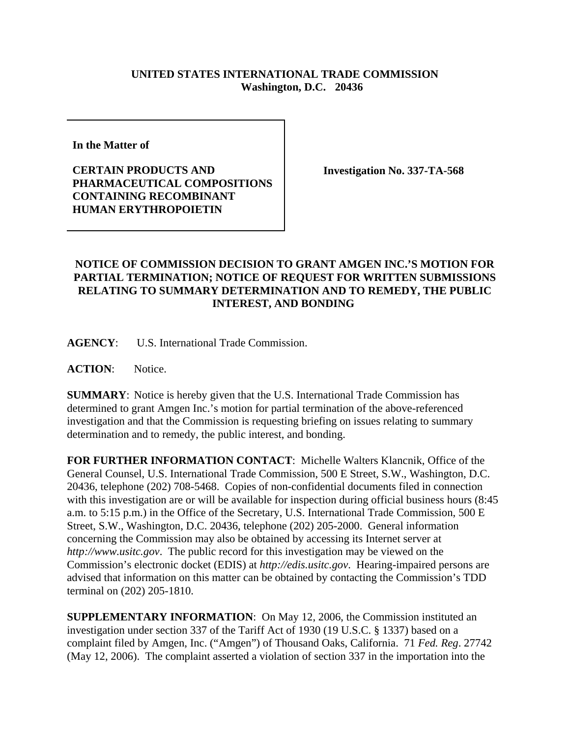## **UNITED STATES INTERNATIONAL TRADE COMMISSION Washington, D.C. 20436**

**In the Matter of** 

**CERTAIN PRODUCTS AND PHARMACEUTICAL COMPOSITIONS CONTAINING RECOMBINANT HUMAN ERYTHROPOIETIN** 

**Investigation No. 337-TA-568**

## **NOTICE OF COMMISSION DECISION TO GRANT AMGEN INC.'S MOTION FOR PARTIAL TERMINATION; NOTICE OF REQUEST FOR WRITTEN SUBMISSIONS RELATING TO SUMMARY DETERMINATION AND TO REMEDY, THE PUBLIC INTEREST, AND BONDING**

**AGENCY**: U.S. International Trade Commission.

**ACTION**: Notice.

**SUMMARY**: Notice is hereby given that the U.S. International Trade Commission has determined to grant Amgen Inc.'s motion for partial termination of the above-referenced investigation and that the Commission is requesting briefing on issues relating to summary determination and to remedy, the public interest, and bonding.

**FOR FURTHER INFORMATION CONTACT**: Michelle Walters Klancnik, Office of the General Counsel, U.S. International Trade Commission, 500 E Street, S.W., Washington, D.C. 20436, telephone (202) 708-5468. Copies of non-confidential documents filed in connection with this investigation are or will be available for inspection during official business hours (8:45 a.m. to 5:15 p.m.) in the Office of the Secretary, U.S. International Trade Commission, 500 E Street, S.W., Washington, D.C. 20436, telephone (202) 205-2000. General information concerning the Commission may also be obtained by accessing its Internet server at *http://www.usitc.gov*. The public record for this investigation may be viewed on the Commission's electronic docket (EDIS) at *http://edis.usitc.gov*. Hearing-impaired persons are advised that information on this matter can be obtained by contacting the Commission's TDD terminal on (202) 205-1810.

**SUPPLEMENTARY INFORMATION**: On May 12, 2006, the Commission instituted an investigation under section 337 of the Tariff Act of 1930 (19 U.S.C. § 1337) based on a complaint filed by Amgen, Inc. ("Amgen") of Thousand Oaks, California. 71 *Fed. Reg*. 27742 (May 12, 2006). The complaint asserted a violation of section 337 in the importation into the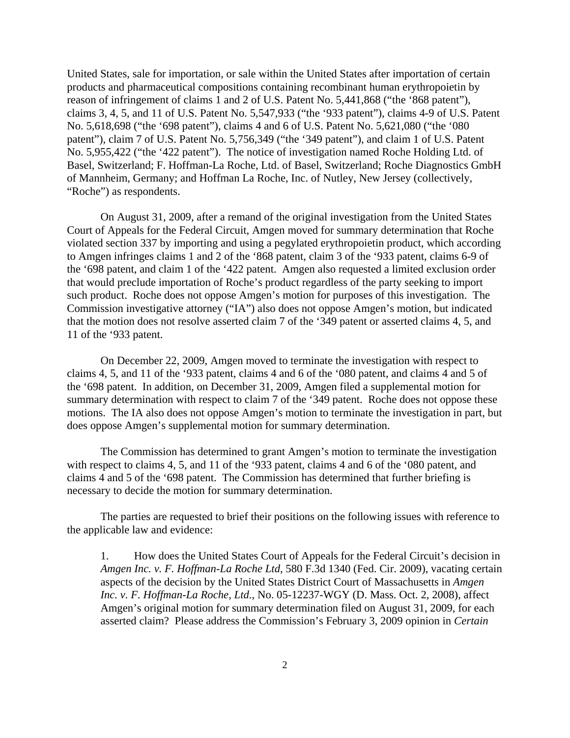United States, sale for importation, or sale within the United States after importation of certain products and pharmaceutical compositions containing recombinant human erythropoietin by reason of infringement of claims 1 and 2 of U.S. Patent No. 5,441,868 ("the '868 patent"), claims 3, 4, 5, and 11 of U.S. Patent No. 5,547,933 ("the '933 patent"), claims 4-9 of U.S. Patent No. 5,618,698 ("the '698 patent"), claims 4 and 6 of U.S. Patent No. 5,621,080 ("the '080 patent"), claim 7 of U.S. Patent No. 5,756,349 ("the '349 patent"), and claim 1 of U.S. Patent No. 5,955,422 ("the '422 patent"). The notice of investigation named Roche Holding Ltd. of Basel, Switzerland; F. Hoffman-La Roche, Ltd. of Basel, Switzerland; Roche Diagnostics GmbH of Mannheim, Germany; and Hoffman La Roche, Inc. of Nutley, New Jersey (collectively, "Roche") as respondents.

On August 31, 2009, after a remand of the original investigation from the United States Court of Appeals for the Federal Circuit, Amgen moved for summary determination that Roche violated section 337 by importing and using a pegylated erythropoietin product, which according to Amgen infringes claims 1 and 2 of the '868 patent, claim 3 of the '933 patent, claims 6-9 of the '698 patent, and claim 1 of the '422 patent. Amgen also requested a limited exclusion order that would preclude importation of Roche's product regardless of the party seeking to import such product. Roche does not oppose Amgen's motion for purposes of this investigation. The Commission investigative attorney ("IA") also does not oppose Amgen's motion, but indicated that the motion does not resolve asserted claim 7 of the '349 patent or asserted claims 4, 5, and 11 of the '933 patent.

On December 22, 2009, Amgen moved to terminate the investigation with respect to claims 4, 5, and 11 of the '933 patent, claims 4 and 6 of the '080 patent, and claims 4 and 5 of the '698 patent. In addition, on December 31, 2009, Amgen filed a supplemental motion for summary determination with respect to claim 7 of the '349 patent. Roche does not oppose these motions. The IA also does not oppose Amgen's motion to terminate the investigation in part, but does oppose Amgen's supplemental motion for summary determination.

The Commission has determined to grant Amgen's motion to terminate the investigation with respect to claims 4, 5, and 11 of the '933 patent, claims 4 and 6 of the '080 patent, and claims 4 and 5 of the '698 patent. The Commission has determined that further briefing is necessary to decide the motion for summary determination.

The parties are requested to brief their positions on the following issues with reference to the applicable law and evidence:

1. How does the United States Court of Appeals for the Federal Circuit's decision in *Amgen Inc. v. F. Hoffman-La Roche Ltd*, 580 F.3d 1340 (Fed. Cir. 2009), vacating certain aspects of the decision by the United States District Court of Massachusetts in *Amgen Inc. v. F. Hoffman-La Roche, Ltd.*, No. 05-12237-WGY (D. Mass. Oct. 2, 2008), affect Amgen's original motion for summary determination filed on August 31, 2009, for each asserted claim? Please address the Commission's February 3, 2009 opinion in *Certain*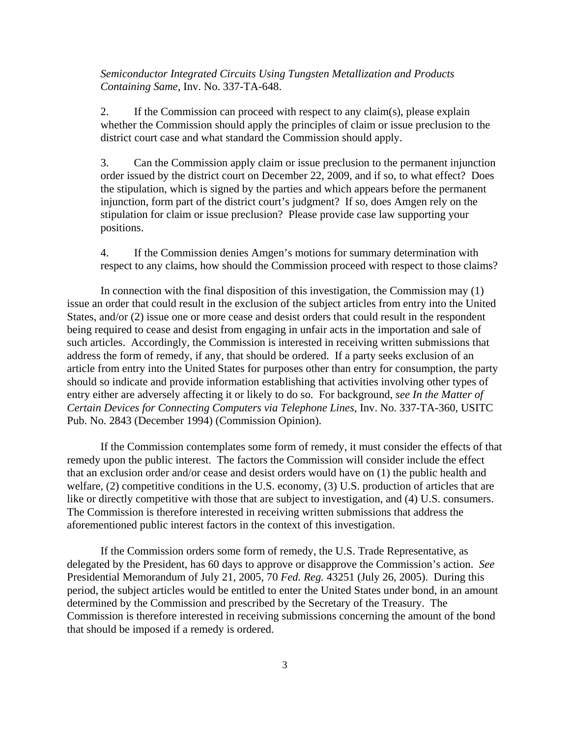*Semiconductor Integrated Circuits Using Tungsten Metallization and Products Containing Same*, Inv. No. 337-TA-648.

2. If the Commission can proceed with respect to any claim(s), please explain whether the Commission should apply the principles of claim or issue preclusion to the district court case and what standard the Commission should apply.

3. Can the Commission apply claim or issue preclusion to the permanent injunction order issued by the district court on December 22, 2009, and if so, to what effect? Does the stipulation, which is signed by the parties and which appears before the permanent injunction, form part of the district court's judgment? If so, does Amgen rely on the stipulation for claim or issue preclusion? Please provide case law supporting your positions.

4. If the Commission denies Amgen's motions for summary determination with respect to any claims, how should the Commission proceed with respect to those claims?

In connection with the final disposition of this investigation, the Commission may (1) issue an order that could result in the exclusion of the subject articles from entry into the United States, and/or (2) issue one or more cease and desist orders that could result in the respondent being required to cease and desist from engaging in unfair acts in the importation and sale of such articles. Accordingly, the Commission is interested in receiving written submissions that address the form of remedy, if any, that should be ordered. If a party seeks exclusion of an article from entry into the United States for purposes other than entry for consumption, the party should so indicate and provide information establishing that activities involving other types of entry either are adversely affecting it or likely to do so. For background, *see In the Matter of Certain Devices for Connecting Computers via Telephone Lines*, Inv. No. 337-TA-360, USITC Pub. No. 2843 (December 1994) (Commission Opinion).

If the Commission contemplates some form of remedy, it must consider the effects of that remedy upon the public interest. The factors the Commission will consider include the effect that an exclusion order and/or cease and desist orders would have on (1) the public health and welfare, (2) competitive conditions in the U.S. economy, (3) U.S. production of articles that are like or directly competitive with those that are subject to investigation, and (4) U.S. consumers. The Commission is therefore interested in receiving written submissions that address the aforementioned public interest factors in the context of this investigation.

If the Commission orders some form of remedy, the U.S. Trade Representative, as delegated by the President, has 60 days to approve or disapprove the Commission's action. *See* Presidential Memorandum of July 21, 2005, 70 *Fed. Reg.* 43251 (July 26, 2005). During this period, the subject articles would be entitled to enter the United States under bond, in an amount determined by the Commission and prescribed by the Secretary of the Treasury. The Commission is therefore interested in receiving submissions concerning the amount of the bond that should be imposed if a remedy is ordered.